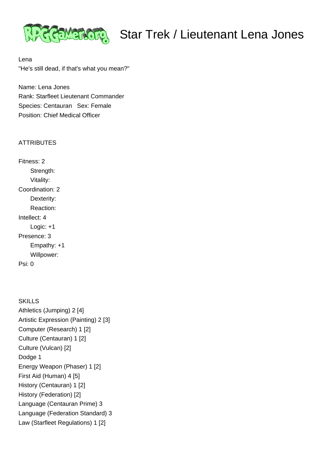

Lena "He's still dead, if that's what you mean?"

Name: Lena Jones Rank: Starfleet Lieutenant Commander Species: Centauran Sex: Female Position: Chief Medical Officer

## **ATTRIBUTES**

Fitness: 2 Strength: Vitality: Coordination: 2 Dexterity: Reaction: Intellect: 4 Logic: +1 Presence: 3 Empathy: +1 Willpower: Psi: 0

**SKILLS** Athletics (Jumping) 2 [4] Artistic Expression (Painting) 2 [3] Computer (Research) 1 [2] Culture (Centauran) 1 [2] Culture (Vulcan) [2] Dodge 1 Energy Weapon (Phaser) 1 [2] First Aid (Human) 4 [5] History (Centauran) 1 [2] History (Federation) [2] Language (Centauran Prime) 3 Language (Federation Standard) 3 Law (Starfleet Regulations) 1 [2]